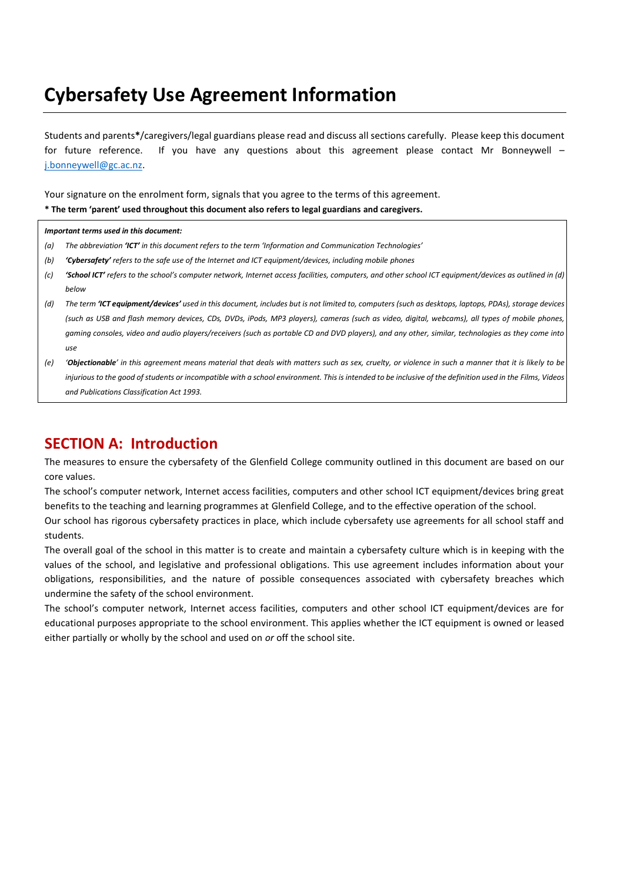## **Cybersafety Use Agreement Information**

Students and parents**\***/caregivers/legal guardians please read and discuss all sections carefully. Please keep this document for future reference. If you have any questions about this agreement please contact Mr Bonneywell – [j.bonneywell@gc.ac.nz.](mailto:j.bonneywell@gc.ac.nz)

Your signature on the enrolment form, signals that you agree to the terms of this agreement.

**\* The term 'parent' used throughout this document also refers to legal guardians and caregivers.**

## *Important terms used in this document:*

- *(a) The abbreviation 'ICT' in this document refers to the term 'Information and Communication Technologies'*
- *(b) 'Cybersafety' refers to the safe use of the Internet and ICT equipment/devices, including mobile phones*
- *(c) 'School ICT' refers to the school's computer network, Internet access facilities, computers, and other school ICT equipment/devices as outlined in (d) below*
- *(d) The term 'ICT equipment/devices' used in this document, includes but is not limited to, computers (such as desktops, laptops, PDAs), storage devices (such as USB and flash memory devices, CDs, DVDs, iPods, MP3 players), cameras (such as video, digital, webcams), all types of mobile phones, gaming consoles, video and audio players/receivers (such as portable CD and DVD players), and any other, similar, technologies as they come into use*
- *(e) 'Objectionable' in this agreement means material that deals with matters such as sex, cruelty, or violence in such a manner that it is likely to be injurious to the good of students or incompatible with a school environment. This is intended to be inclusive of the definition used in the Films, Videos and Publications Classification Act 1993.*

## **SECTION A: Introduction**

The measures to ensure the cybersafety of the Glenfield College community outlined in this document are based on our core values.

The school's computer network, Internet access facilities, computers and other school ICT equipment/devices bring great benefits to the teaching and learning programmes at Glenfield College, and to the effective operation of the school.

Our school has rigorous cybersafety practices in place, which include cybersafety use agreements for all school staff and students.

The overall goal of the school in this matter is to create and maintain a cybersafety culture which is in keeping with the values of the school, and legislative and professional obligations. This use agreement includes information about your obligations, responsibilities, and the nature of possible consequences associated with cybersafety breaches which undermine the safety of the school environment.

The school's computer network, Internet access facilities, computers and other school ICT equipment/devices are for educational purposes appropriate to the school environment. This applies whether the ICT equipment is owned or leased either partially or wholly by the school and used on *or* off the school site.